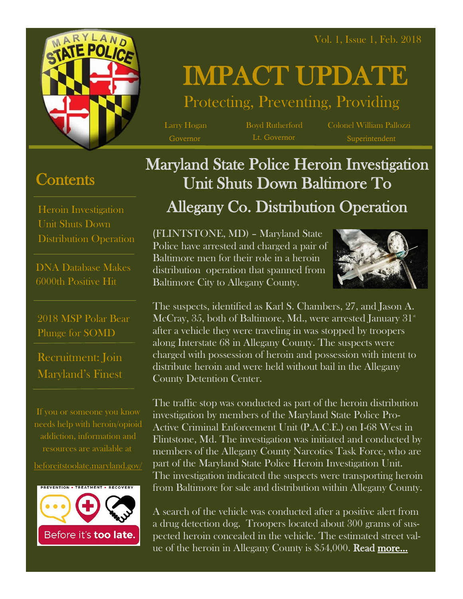Vol. 1, Issue 1, Feb. 2018



# IMPACT UPDATE

### Protecting, Preventing, Providing

Larry Hogan Boyd Rutherford Colonel William Pallozzi Governor Lt. Governor Superintendent

## **Contents**

Heroin Investigation Unit Shuts Down Distribution Operation

DNA Database Makes 6000th Positive Hit

2018 MSP Polar Bear Plunge for SOMD

Recruitment: Join Maryland's Finest

addiction, information and resources are available at

[beforeitstoolate.maryland.gov/](http://beforeitstoolate.maryland.gov/)



## Maryland State Police Heroin Investigation Unit Shuts Down Baltimore To Allegany Co. Distribution Operation

(FLINTSTONE, MD) – Maryland State Police have arrested and charged a pair of Baltimore men for their role in a heroin distribution operation that spanned from Baltimore City to Allegany County.



The suspects, identified as Karl S. Chambers, 27, and Jason A. McCray,  $35$ , both of Baltimore, Md., were arrested January  $31^{\rm st}$ after a vehicle they were traveling in was stopped by troopers along Interstate 68 in Allegany County. The suspects were charged with possession of heroin and possession with intent to distribute heroin and were held without bail in the Allegany County Detention Center.

The traffic stop was conducted as part of the heroin distribution investigation by members of the Maryland State Police Pro-Active Criminal Enforcement Unit (P.A.C.E.) on I-68 West in Flintstone, Md. The investigation was initiated and conducted by members of the Allegany County Narcotics Task Force, who are part of the Maryland State Police Heroin Investigation Unit. The investigation indicated the suspects were transporting heroin from Baltimore for sale and distribution within Allegany County.

A search of the vehicle was conducted after a positive alert from a drug detection dog. Troopers located about 300 grams of suspected heroin concealed in the vehicle. The estimated street value of the heroin in Allegany County is  $$54,000$ . Read [more...](http://news.maryland.gov/msp/2018/02/01/maryland-state-police-heroin-investigation-unit-arrests-pair-in-allegany-county/)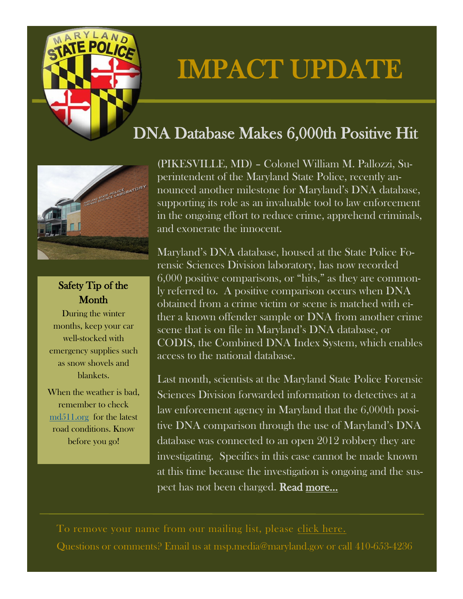

# IMPACT UPDATE

## DNA Database Makes 6,000th Positive Hit



#### Safety Tip of the **Month**

During the winter months, keep your car well-stocked with emergency supplies such as snow shovels and blankets.

When the weather is bad, remember to check [md511.org](http://md511.org/) for the latest road conditions. Know before you go!

(PIKESVILLE, MD) – Colonel William M. Pallozzi, Superintendent of the Maryland State Police, recently announced another milestone for Maryland's DNA database, supporting its role as an invaluable tool to law enforcement in the ongoing effort to reduce crime, apprehend criminals, and exonerate the innocent.

Maryland's DNA database, housed at the State Police Forensic Sciences Division laboratory, has now recorded 6,000 positive comparisons, or "hits," as they are commonly referred to. A positive comparison occurs when DNA obtained from a crime victim or scene is matched with either a known offender sample or DNA from another crime scene that is on file in Maryland's DNA database, or CODIS, the Combined DNA Index System, which enables access to the national database.

Last month, scientists at the Maryland State Police Forensic Sciences Division forwarded information to detectives at a law enforcement agency in Maryland that the 6,000th positive DNA comparison through the use of Maryland's DNA database was connected to an open 2012 robbery they are investigating. Specifics in this case cannot be made known at this time because the investigation is ongoing and the suspect has not been charged. **Read [more...](http://news.maryland.gov/msp/2018/01/22/marylands-dna-database-records-6000th-hit/)** 

To remove your name from our mailing list, please [click here.](https://public.govdelivery.com/accounts/MDPOLICE/subscriber/new) Questions or comments? Email us at msp.media@maryland.gov or call 410-653-4236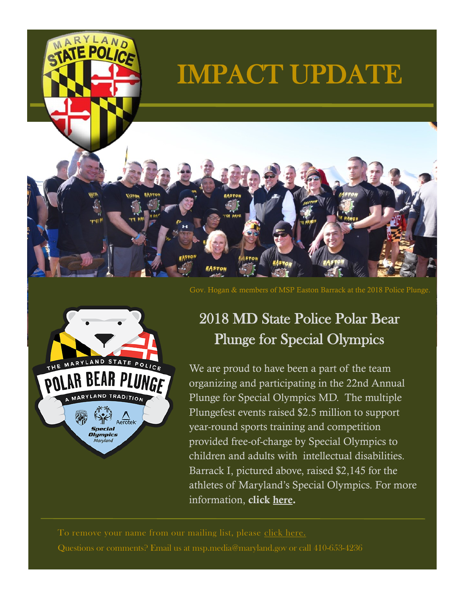

Gov. Hogan & members of MSP Easton Barrack at the 2018 Police Plunge.

## 2018 MD State Police Polar Bear Plunge for Special Olympics

We are proud to have been a part of the team organizing and participating in the 22nd Annual Plunge for Special Olympics MD. The multiple Plungefest events raised \$2.5 million to support year-round sports training and competition provided free-of-charge by Special Olympics to children and adults with intellectual disabilities. Barrack I, pictured above, raised \$2,145 for the athletes of Maryland's Special Olympics. For more information, **click [here.](http://somd.convio.net/site/PageNavigator/MSP_Polar_Bear_Plunge.html)**

Questions or comments? Email us at msp.media@maryland.gov or call 410-653-4236

STATE POLICE

MARYLAND TRADITION

inerial **Olympics** Maryland

NGF

**AJDq**